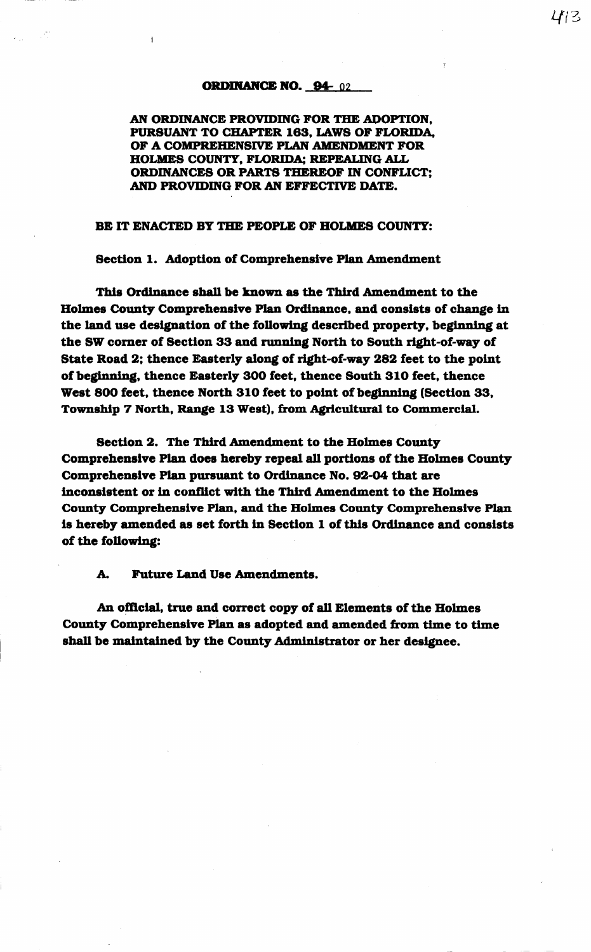## ORDINANCE NO. 94-02

AN ORDINANCE PROVIDING FOR THE ADOPTION. PURSUANT TO CHAPTER 163, LAWS OF FLORIDA, OF A COMPREHENSIVE PLAN AMENDMENT FOR HOLMES COUNTY, FLORIDA; REPEALING ALL ORDINANCES OR PARTS THEREOF IN CONFLICT; AND PROVIDING FOR AN EFFECTIVE DATE.

## BE IT ENACTED BY THE PEOPLE OF HOLMES COUNTY:

Section 1. Adoption of Comprehensive Plan Amendment

This Ordinance shall be known as the Third Amendment to the Holmes County Comprehensive Plan Ordinance, and consists of change in the land use designation of the following described property, beginning at the SW corner of Section 33 and running North to South right-of-way of State Road 2; thence Easterly along of right-of-way 282 feet to the point of beginning, thence Easterly 300 feet, thence South 310 feet, thence West 800 feet, thence North 310 feet to point of beginning (Section 33, Township 7 North, Range 13 West), from Agricultural to Commercial.

Section 2. The Third Amendment to the Holmes County Comprehensive Plan does hereby repeal all portions of the Holmes County Comprehensive Plan pursuant to Ordinance No. 92-04 that are inconsistent or in conflict with the Third Amendment to the Holmes County Comprehensive Plan, and the Holmes County Comprehensive Plan is hereby amended as set forth in Section 1 of this Ordinance and consists of the following:

A. Future Land Use Amendments.

An official, true and correct copy of all Elements of the Holmes County Comprehensive Plan as adopted and amended from time to time shall be maintained by the County Administrator or her designee.

*Lf/3*